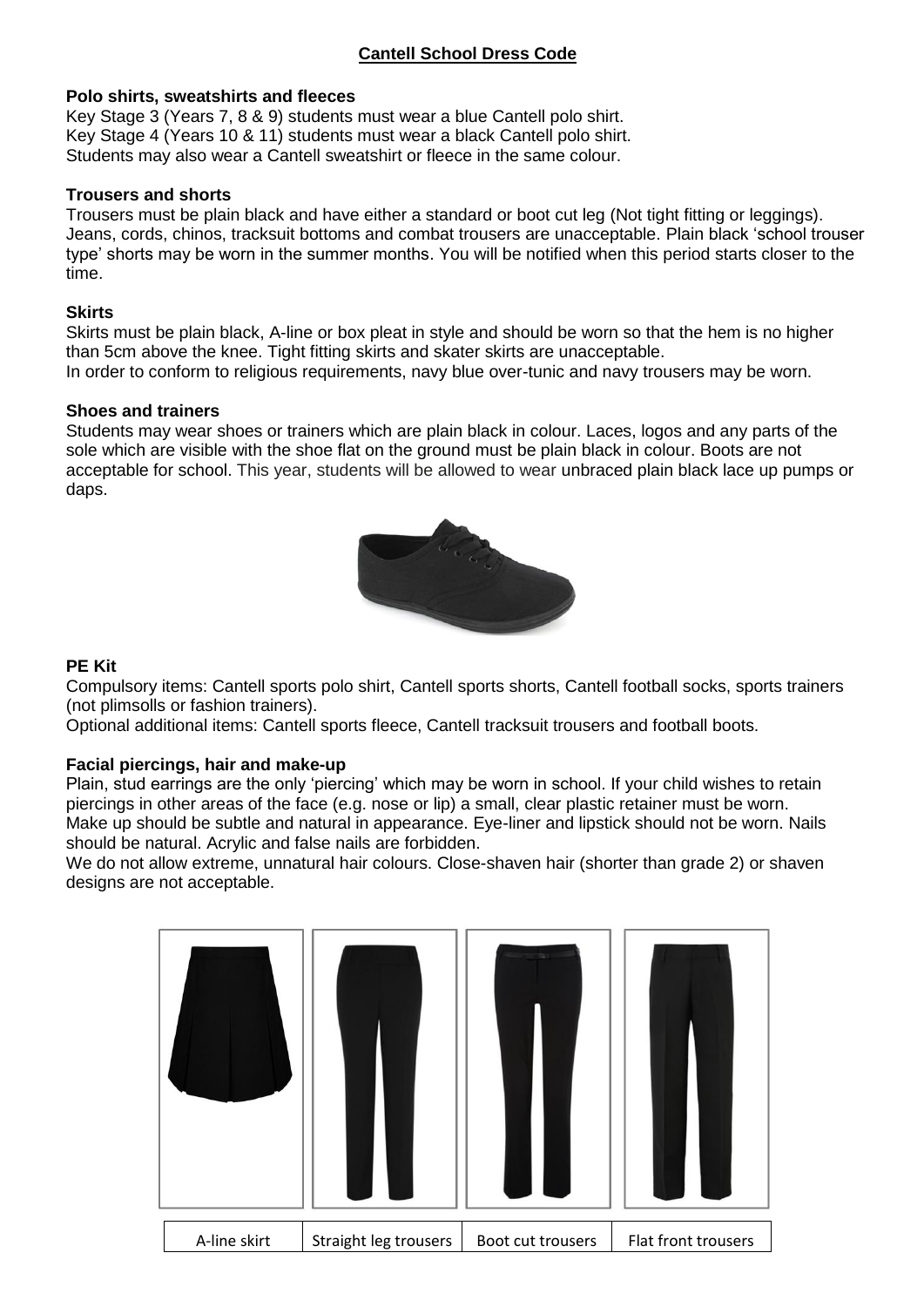# **Cantell School Dress Code**

#### **Polo shirts, sweatshirts and fleeces**

Key Stage 3 (Years 7, 8 & 9) students must wear a blue Cantell polo shirt. Key Stage 4 (Years 10 & 11) students must wear a black Cantell polo shirt. Students may also wear a Cantell sweatshirt or fleece in the same colour.

#### **Trousers and shorts**

Trousers must be plain black and have either a standard or boot cut leg (Not tight fitting or leggings). Jeans, cords, chinos, tracksuit bottoms and combat trousers are unacceptable. Plain black 'school trouser type' shorts may be worn in the summer months. You will be notified when this period starts closer to the time.

#### **Skirts**

Skirts must be plain black, A-line or box pleat in style and should be worn so that the hem is no higher than 5cm above the knee. Tight fitting skirts and skater skirts are unacceptable. In order to conform to religious requirements, navy blue over-tunic and navy trousers may be worn.

#### **Shoes and trainers**

Students may wear shoes or trainers which are plain black in colour. Laces, logos and any parts of the sole which are visible with the shoe flat on the ground must be plain black in colour. Boots are not acceptable for school. This year, students will be allowed to wear unbraced plain black lace up pumps or daps.



## **PE Kit**

Compulsory items: Cantell sports polo shirt, Cantell sports shorts, Cantell football socks, sports trainers (not plimsolls or fashion trainers).

Optional additional items: Cantell sports fleece, Cantell tracksuit trousers and football boots.

## **Facial piercings, hair and make-up**

Plain, stud earrings are the only 'piercing' which may be worn in school. If your child wishes to retain piercings in other areas of the face (e.g. nose or lip) a small, clear plastic retainer must be worn. Make up should be subtle and natural in appearance. Eye-liner and lipstick should not be worn. Nails should be natural. Acrylic and false nails are forbidden.

We do not allow extreme, unnatural hair colours. Close-shaven hair (shorter than grade 2) or shaven designs are not acceptable.